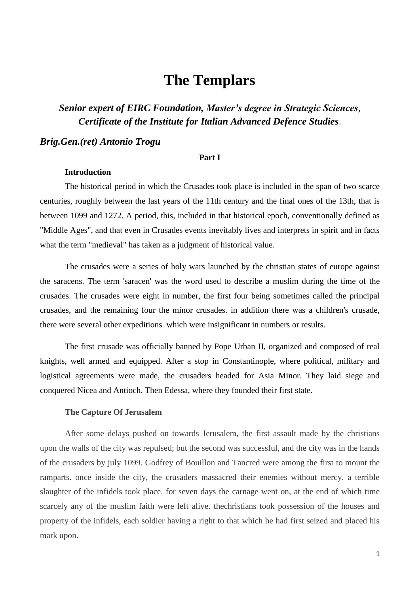# **The Templars**

*Senior expert of EIRC Foundation, Master's degree in Strategic Sciences*, *Certificate of the Institute for Italian Advanced Defence Studies*.

# *Brig.Gen.(ret) Antonio Trogu*

#### **Part I**

## **Introduction**

The historical period in which the Crusades took place is included in the span of two scarce centuries, roughly between the last years of the 11th century and the final ones of the 13th, that is between 1099 and 1272. A period, this, included in that historical epoch, conventionally defined as "Middle Ages", and that even in Crusades events inevitably lives and interprets in spirit and in facts what the term "medieval" has taken as a judgment of historical value.

The crusades were a series of holy wars launched by the christian states of europe against the saracens. The term 'saracen' was the word used to describe a muslim during the time of the crusades. The crusades were eight in number, the first four being sometimes called the principal crusades, and the remaining four the minor crusades. in addition there was a children's crusade, there were several other expeditions which were insignificant in numbers or results.

The first crusade was officially banned by Pope Urban II, organized and composed of real knights, well armed and equipped. After a stop in Constantinople, where political, military and logistical agreements were made, the crusaders headed for Asia Minor. They laid siege and conquered Nicea and Antioch. Then Edessa, where they founded their first state.

## **The Capture Of Jerusalem**

After some delays pushed on towards Jerusalem, the first assault made by the christians upon the walls of the city was repulsed; but the second was successful, and the city was in the hands of the crusaders by july 1099. Godfrey of Bouillon and Tancred were among the first to mount the ramparts. once inside the city, the crusaders massacred their enemies without mercy. a terrible slaughter of the infidels took place. for seven days the carnage went on, at the end of which time scarcely any of the muslim faith were left alive. thechristians took possession of the houses and property of the infidels, each soldier having a right to that which he had first seized and placed his mark upon.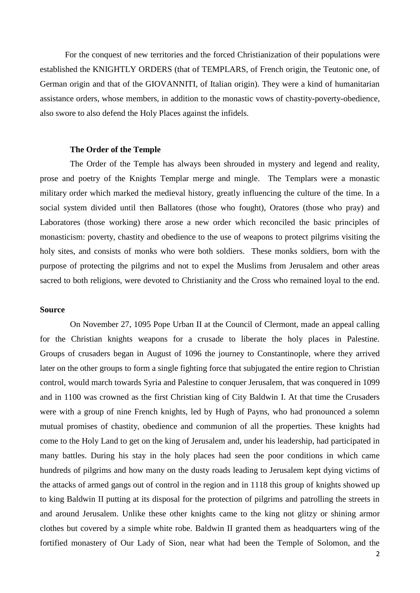For the conquest of new territories and the forced Christianization of their populations were established the KNIGHTLY ORDERS (that of TEMPLARS, of French origin, the Teutonic one, of German origin and that of the GIOVANNITI, of Italian origin). They were a kind of humanitarian assistance orders, whose members, in addition to the monastic vows of chastity-poverty-obedience, also swore to also defend the Holy Places against the infidels.

#### **The Order of the Temple**

The Order of the Temple has always been shrouded in mystery and legend and reality, prose and poetry of the Knights Templar merge and mingle. The Templars were a monastic military order which marked the medieval history, greatly influencing the culture of the time. In a social system divided until then Ballatores (those who fought), Oratores (those who pray) and Laboratores (those working) there arose a new order which reconciled the basic principles of monasticism: poverty, chastity and obedience to the use of weapons to protect pilgrims visiting the holy sites, and consists of monks who were both soldiers. These monks soldiers, born with the purpose of protecting the pilgrims and not to expel the Muslims from Jerusalem and other areas sacred to both religions, were devoted to Christianity and the Cross who remained loyal to the end.

#### **Source**

On November 27, 1095 Pope Urban II at the Council of Clermont, made an appeal calling for the Christian knights weapons for a crusade to liberate the holy places in Palestine. Groups of crusaders began in August of 1096 the journey to Constantinople, where they arrived later on the other groups to form a single fighting force that subjugated the entire region to Christian control, would march towards Syria and Palestine to conquer Jerusalem, that was conquered in 1099 and in 1100 was crowned as the first Christian king of City Baldwin I. At that time the Crusaders were with a group of nine French knights, led by Hugh of Payns, who had pronounced a solemn mutual promises of chastity, obedience and communion of all the properties. These knights had come to the Holy Land to get on the king of Jerusalem and, under his leadership, had participated in many battles. During his stay in the holy places had seen the poor conditions in which came hundreds of pilgrims and how many on the dusty roads leading to Jerusalem kept dying victims of the attacks of armed gangs out of control in the region and in 1118 this group of knights showed up to king Baldwin II putting at its disposal for the protection of pilgrims and patrolling the streets in and around Jerusalem. Unlike these other knights came to the king not glitzy or shining armor clothes but covered by a simple white robe. Baldwin II granted them as headquarters wing of the fortified monastery of Our Lady of Sion, near what had been the Temple of Solomon, and the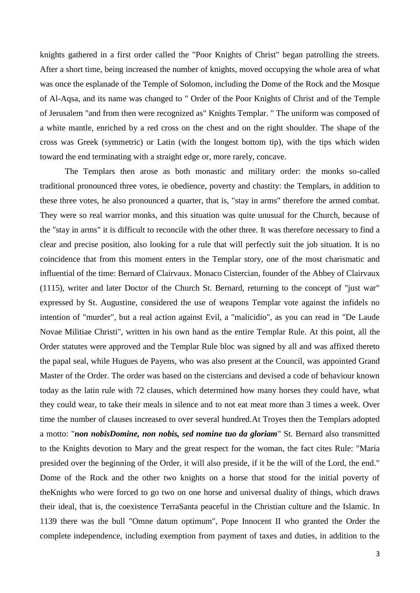knights gathered in a first order called the "Poor Knights of Christ" began patrolling the streets. After a short time, being increased the number of knights, moved occupying the whole area of what was once the esplanade of the Temple of Solomon, including the Dome of the Rock and the Mosque of Al-Aqsa, and its name was changed to " Order of the Poor Knights of Christ and of the Temple of Jerusalem "and from then were recognized as" Knights Templar. " The uniform was composed of a white mantle, enriched by a red cross on the chest and on the right shoulder. The shape of the cross was Greek (symmetric) or Latin (with the longest bottom tip), with the tips which widen toward the end terminating with a straight edge or, more rarely, concave.

The Templars then arose as both monastic and military order: the monks so-called traditional pronounced three votes, ie obedience, poverty and chastity: the Templars, in addition to these three votes, he also pronounced a quarter, that is, "stay in arms" therefore the armed combat. They were so real warrior monks, and this situation was quite unusual for the Church, because of the "stay in arms" it is difficult to reconcile with the other three. It was therefore necessary to find a clear and precise position, also looking for a rule that will perfectly suit the job situation. It is no coincidence that from this moment enters in the Templar story, one of the most charismatic and influential of the time: Bernard of Clairvaux. Monaco Cistercian, founder of the Abbey of Clairvaux (1115), writer and later Doctor of the Church St. Bernard, returning to the concept of "just war" expressed by St. Augustine, considered the use of weapons Templar vote against the infidels no intention of "murder", but a real action against Evil, a "malicidio", as you can read in "De Laude Novae Militiae Christi", written in his own hand as the entire Templar Rule. At this point, all the Order statutes were approved and the Templar Rule bloc was signed by all and was affixed thereto the papal seal, while Hugues de Payens, who was also present at the Council, was appointed Grand Master of the Order. The order was based on the cistercians and devised a code of behaviour known today as the latin rule with 72 clauses, which determined how many horses they could have, what they could wear, to take their meals in silence and to not eat meat more than 3 times a week. Over time the number of clauses increased to over several hundred.At Troyes then the Templars adopted a motto: "*non nobisDomine, non nobis, sed nomine tuo da gloriam*" St. Bernard also transmitted to the Knights devotion to Mary and the great respect for the woman, the fact cites Rule: "Maria presided over the beginning of the Order, it will also preside, if it be the will of the Lord, the end." [Dome](http://it.wikipedia.org/wiki/Cupola_della_Roccia) of the Rock and the other two knights on a horse that stood for the initial poverty of theKnights who were forced to go two on one horse and universal duality of things, which draws their ideal, that is, the coexistence TerraSanta peaceful in the Christian culture and the Islamic. In 1139 there was the bull "Omne datum optimum", Pope Innocent II who granted the Order the complete independence, including exemption from payment of taxes and duties, in addition to the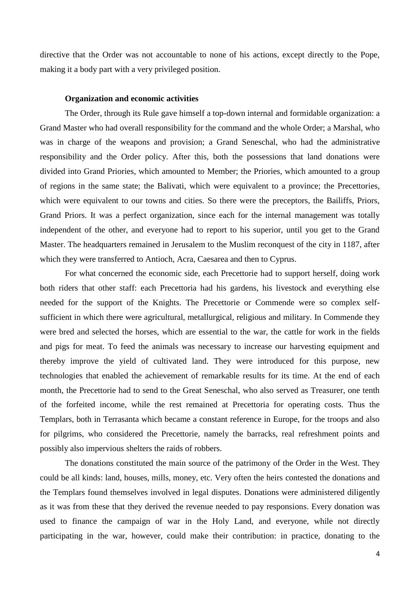directive that the Order was not accountable to none of his actions, except directly to the Pope, making it a body part with a very privileged position.

#### **Organization and economic activities**

The Order, through its Rule gave himself a top-down internal and formidable organization: a Grand Master who had overall responsibility for the command and the whole Order; a Marshal, who was in charge of the weapons and provision; a Grand Seneschal, who had the administrative responsibility and the Order policy. After this, both the possessions that land donations were divided into Grand Priories, which amounted to Member; the Priories, which amounted to a group of regions in the same state; the Balivati, which were equivalent to a province; the Precettories, which were equivalent to our towns and cities. So there were the preceptors, the Bailiffs, Priors, Grand Priors. It was a perfect organization, since each for the internal management was totally independent of the other, and everyone had to report to his superior, until you get to the Grand Master. The headquarters remained in Jerusalem to the Muslim reconquest of the city in 1187, after which they were transferred to Antioch, Acra, Caesarea and then to Cyprus.

For what concerned the economic side, each Precettorie had to support herself, doing work both riders that other staff: each Precettoria had his gardens, his livestock and everything else needed for the support of the Knights. The Precettorie or Commende were so complex selfsufficient in which there were agricultural, metallurgical, religious and military. In Commende they were bred and selected the horses, which are essential to the war, the cattle for work in the fields and pigs for meat. To feed the animals was necessary to increase our harvesting equipment and thereby improve the yield of cultivated land. They were introduced for this purpose, new technologies that enabled the achievement of remarkable results for its time. At the end of each month, the Precettorie had to send to the Great Seneschal, who also served as Treasurer, one tenth of the forfeited income, while the rest remained at Precettoria for operating costs. Thus the Templars, both in Terrasanta which became a constant reference in Europe, for the troops and also for pilgrims, who considered the Precettorie, namely the barracks, real refreshment points and possibly also impervious shelters the raids of robbers.

The donations constituted the main source of the patrimony of the Order in the West. They could be all kinds: land, houses, mills, money, etc. Very often the heirs contested the donations and the Templars found themselves involved in legal disputes. Donations were administered diligently as it was from these that they derived the revenue needed to pay responsions. Every donation was used to finance the campaign of war in the Holy Land, and everyone, while not directly participating in the war, however, could make their contribution: in practice, donating to the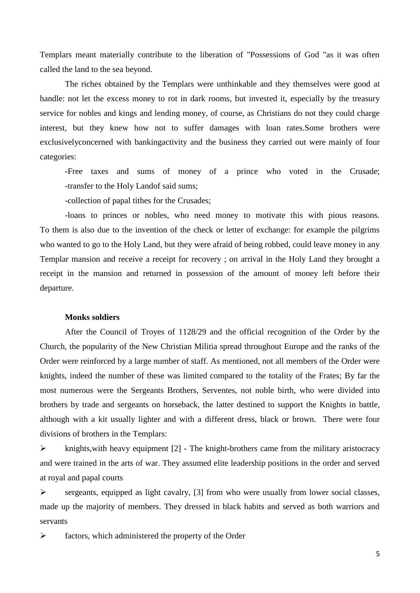Templars meant materially contribute to the liberation of "Possessions of God "as it was often called the land to the sea beyond.

The riches obtained by the Templars were unthinkable and they themselves were good at handle: not let the excess money to rot in dark rooms, but invested it, especially by the treasury service for nobles and kings and lending money, of course, as Christians do not they could charge interest, but they knew how not to suffer damages with loan rates.Some brothers were exclusivelyconcerned with bankingactivity and the business they carried out were mainly of four categories:

-Free taxes and sums of money of a prince who voted in the Crusade; -transfer to the Holy Landof said sums;

-collection of papal tithes for the Crusades;

-loans to princes or nobles, who need money to motivate this with pious reasons. To them is also due to the invention of the check or letter of exchange: for example the pilgrims who wanted to go to the Holy Land, but they were afraid of being robbed, could leave money in any Templar mansion and receive a receipt for recovery ; on arrival in the Holy Land they brought a receipt in the mansion and returned in possession of the amount of money left before their departure.

#### **Monks soldiers**

After the Council of Troyes of 1128/29 and the official recognition of the Order by the Church, the popularity of the New Christian Militia spread throughout Europe and the ranks of the Order were reinforced by a large number of staff. As mentioned, not all members of the Order were knights, indeed the number of these was limited compared to the totality of the Frates; By far the most numerous were the Sergeants Brothers, Serventes, not noble birth, who were divided into brothers by trade and sergeants on horseback, the latter destined to support the Knights in battle, although with a kit usually lighter and with a different dress, black or brown. There were four divisions of brothers in the Templars:

 $\triangleright$  knights, with heavy equipment [2] - The knight-brothers came from the military [aristocracy](https://www.merriam-webster.com/dictionary/aristocracy) and were trained in the arts of war. They assumed elite leadership positions in the order and served at royal and papal courts

 $\triangleright$  sergeants, equipped as light cavalry, [3] from who were usually from lower social classes, made up the majority of members. They dressed in black habits and served as both warriors and servants

 $\triangleright$  factors, which administered the property of the Order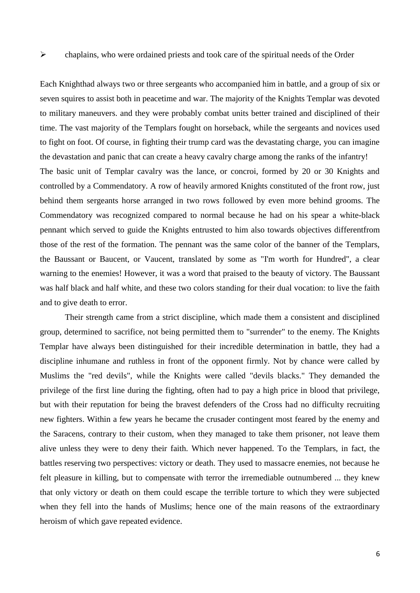Each Knighthad always two or three sergeants who accompanied him in battle, and a group of six or seven squires to assist both in peacetime and war. The majority of the Knights Templar was devoted to military maneuvers. and they were probably combat units better trained and disciplined of their time. The vast majority of the Templars fought on horseback, while the sergeants and novices used to fight on foot. Of course, in fighting their trump card was the devastating charge, you can imagine the devastation and panic that can create a heavy cavalry charge among the ranks of the infantry! The basic unit of Templar cavalry was the lance, or concroi, formed by 20 or 30 Knights and controlled by a Commendatory. A row of heavily armored Knights constituted of the front row, just behind them sergeants horse arranged in two rows followed by even more behind grooms. The Commendatory was recognized compared to normal because he had on his spear a white-black pennant which served to guide the Knights entrusted to him also towards objectives differentfrom those of the rest of the formation. The pennant was the same color of the banner of the Templars, the Baussant or Baucent, or Vaucent, translated by some as "I'm worth for Hundred", a clear warning to the enemies! However, it was a word that praised to the beauty of victory. The Baussant was half black and half white, and these two colors standing for their dual vocation: to live the faith and to give death to error.

Their strength came from a strict discipline, which made them a consistent and disciplined group, determined to sacrifice, not being permitted them to "surrender" to the enemy. The Knights Templar have always been distinguished for their incredible determination in battle, they had a discipline inhumane and ruthless in front of the opponent firmly. Not by chance were called by Muslims the "red devils", while the Knights were called "devils blacks." They demanded the privilege of the first line during the fighting, often had to pay a high price in blood that privilege, but with their reputation for being the bravest defenders of the Cross had no difficulty recruiting new fighters. Within a few years he became the crusader contingent most feared by the enemy and the Saracens, contrary to their custom, when they managed to take them prisoner, not leave them alive unless they were to deny their faith. Which never happened. To the Templars, in fact, the battles reserving two perspectives: victory or death. They used to massacre enemies, not because he felt pleasure in killing, but to compensate with terror the irremediable outnumbered ... they knew that only victory or death on them could escape the terrible torture to which they were subjected when they fell into the hands of Muslims; hence one of the main reasons of the extraordinary heroism of which gave repeated evidence.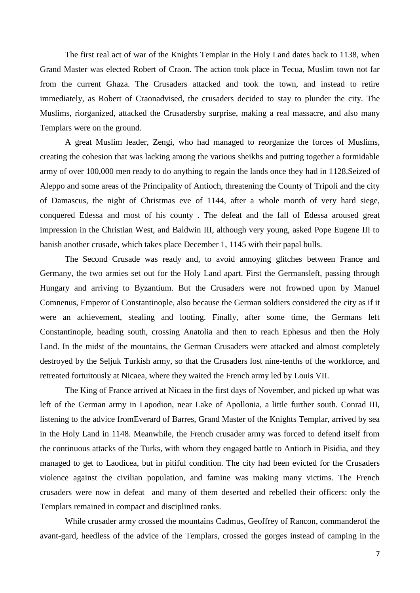The first real act of war of the Knights Templar in the Holy Land dates back to 1138, when Grand Master was elected Robert of Craon. The action took place in Tecua, Muslim town not far from the current Ghaza. The Crusaders attacked and took the town, and instead to retire immediately, as Robert of Craonadvised, the crusaders decided to stay to plunder the city. The Muslims, riorganized, attacked the Crusadersby surprise, making a real massacre, and also many Templars were on the ground.

A great Muslim leader, Zengi, who had managed to reorganize the forces of Muslims, creating the cohesion that was lacking among the various sheikhs and putting together a formidable army of over 100,000 men ready to do anything to regain the lands once they had in 1128.Seized of Aleppo and some areas of the Principality of Antioch, threatening the County of Tripoli and the city of Damascus, the night of Christmas eve of 1144, after a whole month of very hard siege, conquered Edessa and most of his county . The defeat and the fall of Edessa aroused great impression in the Christian West, and Baldwin III, although very young, asked Pope Eugene III to banish another crusade, which takes place December 1, 1145 with their papal bulls.

The Second Crusade was ready and, to avoid annoying glitches between France and Germany, the two armies set out for the Holy Land apart. First the Germansleft, passing through Hungary and arriving to Byzantium. But the Crusaders were not frowned upon by Manuel Comnenus, Emperor of Constantinople, also because the German soldiers considered the city as if it were an achievement, stealing and looting. Finally, after some time, the Germans left Constantinople, heading south, crossing Anatolia and then to reach Ephesus and then the Holy Land. In the midst of the mountains, the German Crusaders were attacked and almost completely destroyed by the Seljuk Turkish army, so that the Crusaders lost nine-tenths of the workforce, and retreated fortuitously at Nicaea, where they waited the French army led by Louis VII.

The King of France arrived at Nicaea in the first days of November, and picked up what was left of the German army in Lapodion, near Lake of Apollonia, a little further south. Conrad III, listening to the advice fromEverard of Barres, Grand Master of the Knights Templar, arrived by sea in the Holy Land in 1148. Meanwhile, the French crusader army was forced to defend itself from the continuous attacks of the Turks, with whom they engaged battle to Antioch in Pisidia, and they managed to get to Laodicea, but in pitiful condition. The city had been evicted for the Crusaders violence against the civilian population, and famine was making many victims. The French crusaders were now in defeat and many of them deserted and rebelled their officers: only the Templars remained in compact and disciplined ranks.

While crusader army crossed the mountains Cadmus, Geoffrey of Rancon, commanderof the avant-gard, heedless of the advice of the Templars, crossed the gorges instead of camping in the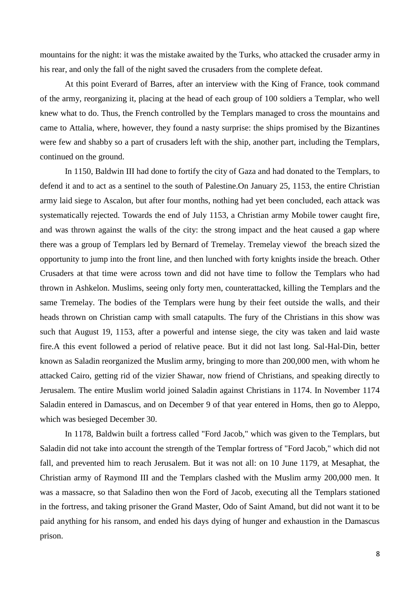mountains for the night: it was the mistake awaited by the Turks, who attacked the crusader army in his rear, and only the fall of the night saved the crusaders from the complete defeat.

At this point Everard of Barres, after an interview with the King of France, took command of the army, reorganizing it, placing at the head of each group of 100 soldiers a Templar, who well knew what to do. Thus, the French controlled by the Templars managed to cross the mountains and came to Attalia, where, however, they found a nasty surprise: the ships promised by the Bizantines were few and shabby so a part of crusaders left with the ship, another part, including the Templars, continued on the ground.

In 1150, Baldwin III had done to fortify the city of Gaza and had donated to the Templars, to defend it and to act as a sentinel to the south of Palestine.On January 25, 1153, the entire Christian army laid siege to Ascalon, but after four months, nothing had yet been concluded, each attack was systematically rejected. Towards the end of July 1153, a Christian army Mobile tower caught fire, and was thrown against the walls of the city: the strong impact and the heat caused a gap where there was a group of Templars led by Bernard of Tremelay. Tremelay viewof the breach sized the opportunity to jump into the front line, and then lunched with forty knights inside the breach. Other Crusaders at that time were across town and did not have time to follow the Templars who had thrown in Ashkelon. Muslims, seeing only forty men, counterattacked, killing the Templars and the same Tremelay. The bodies of the Templars were hung by their feet outside the walls, and their heads thrown on Christian camp with small catapults. The fury of the Christians in this show was such that August 19, 1153, after a powerful and intense siege, the city was taken and laid waste fire.A this event followed a period of relative peace. But it did not last long. Sal-Hal-Din, better known as Saladin reorganized the Muslim army, bringing to more than 200,000 men, with whom he attacked Cairo, getting rid of the vizier Shawar, now friend of Christians, and speaking directly to Jerusalem. The entire Muslim world joined Saladin against Christians in 1174. In November 1174 Saladin entered in Damascus, and on December 9 of that year entered in Homs, then go to Aleppo, which was besieged December 30.

In 1178, Baldwin built a fortress called "Ford Jacob," which was given to the Templars, but Saladin did not take into account the strength of the Templar fortress of "Ford Jacob," which did not fall, and prevented him to reach Jerusalem. But it was not all: on 10 June 1179, at Mesaphat, the Christian army of Raymond III and the Templars clashed with the Muslim army 200,000 men. It was a massacre, so that Saladino then won the Ford of Jacob, executing all the Templars stationed in the fortress, and taking prisoner the Grand Master, Odo of Saint Amand, but did not want it to be paid anything for his ransom, and ended his days dying of hunger and exhaustion in the Damascus prison.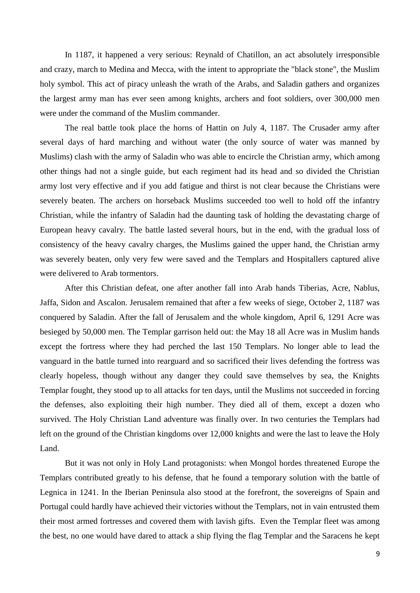In 1187, it happened a very serious: Reynald of Chatillon, an act absolutely irresponsible and crazy, march to Medina and Mecca, with the intent to appropriate the "black stone", the Muslim holy symbol. This act of piracy unleash the wrath of the Arabs, and Saladin gathers and organizes the largest army man has ever seen among knights, archers and foot soldiers, over 300,000 men were under the command of the Muslim commander.

The real battle took place the horns of Hattin on July 4, 1187. The Crusader army after several days of hard marching and without water (the only source of water was manned by Muslims) clash with the army of Saladin who was able to encircle the Christian army, which among other things had not a single guide, but each regiment had its head and so divided the Christian army lost very effective and if you add fatigue and thirst is not clear because the Christians were severely beaten. The archers on horseback Muslims succeeded too well to hold off the infantry Christian, while the infantry of Saladin had the daunting task of holding the devastating charge of European heavy cavalry. The battle lasted several hours, but in the end, with the gradual loss of consistency of the heavy cavalry charges, the Muslims gained the upper hand, the Christian army was severely beaten, only very few were saved and the Templars and Hospitallers captured alive were delivered to Arab tormentors.

After this Christian defeat, one after another fall into Arab hands Tiberias, Acre, Nablus, Jaffa, Sidon and Ascalon. Jerusalem remained that after a few weeks of siege, October 2, 1187 was conquered by Saladin. After the fall of Jerusalem and the whole kingdom, April 6, 1291 Acre was besieged by 50,000 men. The Templar garrison held out: the May 18 all Acre was in Muslim hands except the fortress where they had perched the last 150 Templars. No longer able to lead the vanguard in the battle turned into rearguard and so sacrificed their lives defending the fortress was clearly hopeless, though without any danger they could save themselves by sea, the Knights Templar fought, they stood up to all attacks for ten days, until the Muslims not succeeded in forcing the defenses, also exploiting their high number. They died all of them, except a dozen who survived. The Holy Christian Land adventure was finally over. In two centuries the Templars had left on the ground of the Christian kingdoms over 12,000 knights and were the last to leave the Holy Land.

But it was not only in Holy Land protagonists: when Mongol hordes threatened Europe the Templars contributed greatly to his defense, that he found a temporary solution with the battle of Legnica in 1241. In the Iberian Peninsula also stood at the forefront, the sovereigns of Spain and Portugal could hardly have achieved their victories without the Templars, not in vain entrusted them their most armed fortresses and covered them with lavish gifts. Even the Templar fleet was among the best, no one would have dared to attack a ship flying the flag Templar and the Saracens he kept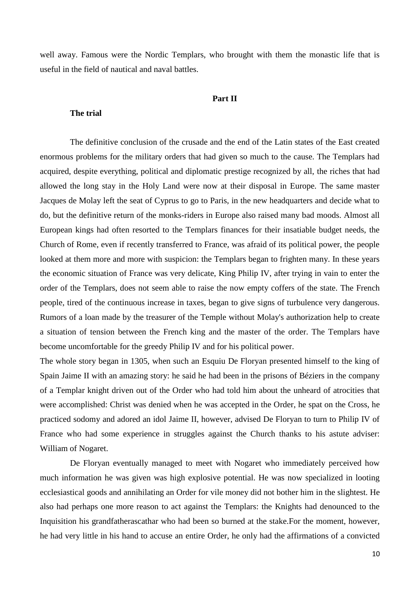well away. Famous were the Nordic Templars, who brought with them the monastic life that is useful in the field of nautical and naval battles.

## **Part II**

## **The trial**

The definitive conclusion of the crusade and the end of the Latin states of the East created enormous problems for the military orders that had given so much to the cause. The Templars had acquired, despite everything, political and diplomatic prestige recognized by all, the riches that had allowed the long stay in the Holy Land were now at their disposal in Europe. The same master Jacques de Molay left the seat of Cyprus to go to Paris, in the new headquarters and decide what to do, but the definitive return of the monks-riders in Europe also raised many bad moods. Almost all European kings had often resorted to the Templars finances for their insatiable budget needs, the Church of Rome, even if recently transferred to France, was afraid of its political power, the people looked at them more and more with suspicion: the Templars began to frighten many. In these years the economic situation of France was very delicate, King Philip IV, after trying in vain to enter the order of the Templars, does not seem able to raise the now empty coffers of the state. The French people, tired of the continuous increase in taxes, began to give signs of turbulence very dangerous. Rumors of a loan made by the treasurer of the Temple without Molay's authorization help to create a situation of tension between the French king and the master of the order. The Templars have become uncomfortable for the greedy Philip IV and for his political power.

The whole story began in 1305, when such an Esquiu De Floryan presented himself to the king of Spain Jaime II with an amazing story: he said he had been in the prisons of Béziers in the company of a Templar knight driven out of the Order who had told him about the unheard of atrocities that were accomplished: Christ was denied when he was accepted in the Order, he spat on the Cross, he practiced sodomy and adored an idol Jaime II, however, advised De Floryan to turn to Philip IV of France who had some experience in struggles against the Church thanks to his astute adviser: William of Nogaret.

De Floryan eventually managed to meet with Nogaret who immediately perceived how much information he was given was high explosive potential. He was now specialized in looting ecclesiastical goods and annihilating an Order for vile money did not bother him in the slightest. He also had perhaps one more reason to act against the Templars: the Knights had denounced to the Inquisition his grandfatherascathar who had been so burned at the stake.For the moment, however, he had very little in his hand to accuse an entire Order, he only had the affirmations of a convicted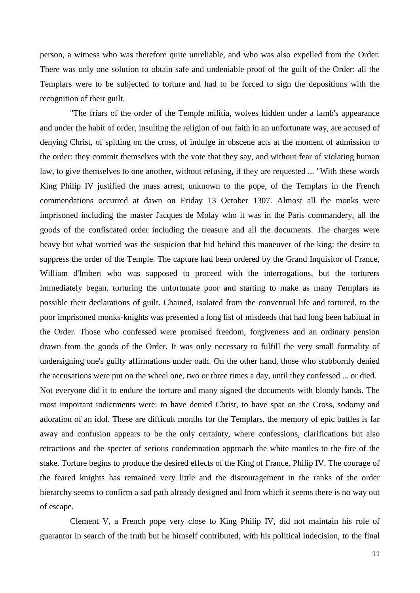person, a witness who was therefore quite unreliable, and who was also expelled from the Order. There was only one solution to obtain safe and undeniable proof of the guilt of the Order: all the Templars were to be subjected to torture and had to be forced to sign the depositions with the recognition of their guilt.

"The friars of the order of the Temple militia, wolves hidden under a lamb's appearance and under the habit of order, insulting the religion of our faith in an unfortunate way, are accused of denying Christ, of spitting on the cross, of indulge in obscene acts at the moment of admission to the order: they commit themselves with the vote that they say, and without fear of violating human law, to give themselves to one another, without refusing, if they are requested ... "With these words King Philip IV justified the mass arrest, unknown to the pope, of the Templars in the French commendations occurred at dawn on Friday 13 October 1307. Almost all the monks were imprisoned including the master Jacques de Molay who it was in the Paris commandery, all the goods of the confiscated order including the treasure and all the documents. The charges were heavy but what worried was the suspicion that hid behind this maneuver of the king: the desire to suppress the order of the Temple. The capture had been ordered by the Grand Inquisitor of France, William d'Imbert who was supposed to proceed with the interrogations, but the torturers immediately began, torturing the unfortunate poor and starting to make as many Templars as possible their declarations of guilt. Chained, isolated from the conventual life and tortured, to the poor imprisoned monks-knights was presented a long list of misdeeds that had long been habitual in the Order. Those who confessed were promised freedom, forgiveness and an ordinary pension drawn from the goods of the Order. It was only necessary to fulfill the very small formality of undersigning one's guilty affirmations under oath. On the other hand, those who stubbornly denied the accusations were put on the wheel one, two or three times a day, until they confessed ... or died. Not everyone did it to endure the torture and many signed the documents with bloody hands. The most important indictments were: to have denied Christ, to have spat on the Cross, sodomy and adoration of an idol. These are difficult months for the Templars, the memory of epic battles is far away and confusion appears to be the only certainty, where confessions, clarifications but also retractions and the specter of serious condemnation approach the white mantles to the fire of the stake. Torture begins to produce the desired effects of the King of France, Philip IV. The courage of the feared knights has remained very little and the discouragement in the ranks of the order hierarchy seems to confirm a sad path already designed and from which it seems there is no way out of escape.

Clement V, a French pope very close to King Philip IV, did not maintain his role of guarantor in search of the truth but he himself contributed, with his political indecision, to the final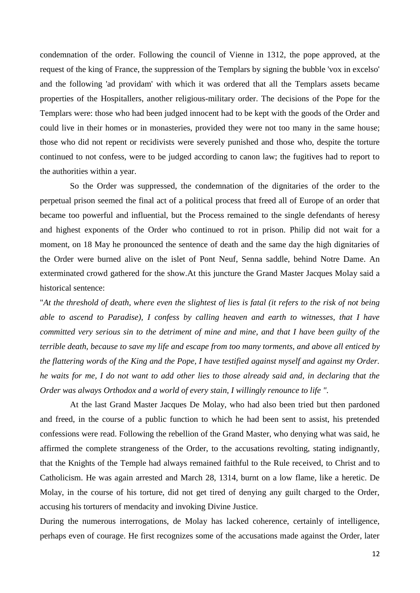condemnation of the order. Following the council of Vienne in 1312, the pope approved, at the request of the king of France, the suppression of the Templars by signing the bubble 'vox in excelso' and the following 'ad providam' with which it was ordered that all the Templars assets became properties of the Hospitallers, another religious-military order. The decisions of the Pope for the Templars were: those who had been judged innocent had to be kept with the goods of the Order and could live in their homes or in monasteries, provided they were not too many in the same house; those who did not repent or recidivists were severely punished and those who, despite the torture continued to not confess, were to be judged according to canon law; the fugitives had to report to the authorities within a year.

So the Order was suppressed, the condemnation of the dignitaries of the order to the perpetual prison seemed the final act of a political process that freed all of Europe of an order that became too powerful and influential, but the Process remained to the single defendants of heresy and highest exponents of the Order who continued to rot in prison. Philip did not wait for a moment, on 18 May he pronounced the sentence of death and the same day the high dignitaries of the Order were burned alive on the islet of Pont Neuf, Senna saddle, behind Notre Dame. An exterminated crowd gathered for the show.At this juncture the Grand Master Jacques Molay said a historical sentence:

"*At the threshold of death, where even the slightest of lies is fatal (it refers to the risk of not being able to ascend to Paradise), I confess by calling heaven and earth to witnesses, that I have committed very serious sin to the detriment of mine and mine, and that I have been guilty of the terrible death, because to save my life and escape from too many torments, and above all enticed by the flattering words of the King and the Pope, I have testified against myself and against my Order. he waits for me, I do not want to add other lies to those already said and, in declaring that the Order was always Orthodox and a world of every stain, I willingly renounce to life ".*

At the last Grand Master Jacques De Molay, who had also been tried but then pardoned and freed, in the course of a public function to which he had been sent to assist, his pretended confessions were read. Following the rebellion of the Grand Master, who denying what was said, he affirmed the complete strangeness of the Order, to the accusations revolting, stating indignantly, that the Knights of the Temple had always remained faithful to the Rule received, to Christ and to Catholicism. He was again arrested and March 28, 1314, burnt on a low flame, like a heretic. De Molay, in the course of his torture, did not get tired of denying any guilt charged to the Order, accusing his torturers of mendacity and invoking Divine Justice.

During the numerous interrogations, de Molay has lacked coherence, certainly of intelligence, perhaps even of courage. He first recognizes some of the accusations made against the Order, later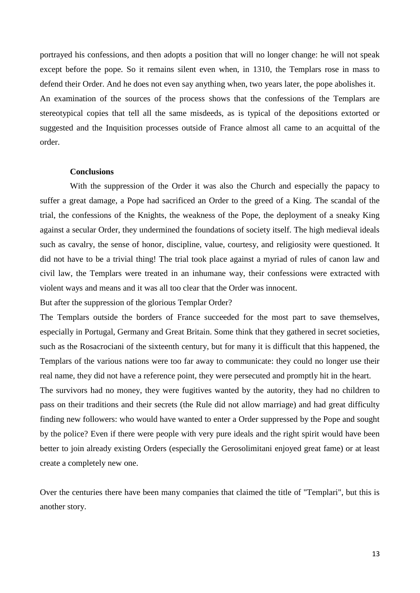portrayed his confessions, and then adopts a position that will no longer change: he will not speak except before the pope. So it remains silent even when, in 1310, the Templars rose in mass to defend their Order. And he does not even say anything when, two years later, the pope abolishes it. An examination of the sources of the process shows that the confessions of the Templars are stereotypical copies that tell all the same misdeeds, as is typical of the depositions extorted or suggested and the Inquisition processes outside of France almost all came to an acquittal of the order.

#### **Conclusions**

With the suppression of the Order it was also the Church and especially the papacy to suffer a great damage, a Pope had sacrificed an Order to the greed of a King. The scandal of the trial, the confessions of the Knights, the weakness of the Pope, the deployment of a sneaky King against a secular Order, they undermined the foundations of society itself. The high medieval ideals such as cavalry, the sense of honor, discipline, value, courtesy, and religiosity were questioned. It did not have to be a trivial thing! The trial took place against a myriad of rules of canon law and civil law, the Templars were treated in an inhumane way, their confessions were extracted with violent ways and means and it was all too clear that the Order was innocent.

But after the suppression of the glorious Templar Order?

The Templars outside the borders of France succeeded for the most part to save themselves, especially in Portugal, Germany and Great Britain. Some think that they gathered in secret societies, such as the Rosacrociani of the sixteenth century, but for many it is difficult that this happened, the Templars of the various nations were too far away to communicate: they could no longer use their real name, they did not have a reference point, they were persecuted and promptly hit in the heart.

The survivors had no money, they were fugitives wanted by the autority, they had no children to pass on their traditions and their secrets (the Rule did not allow marriage) and had great difficulty finding new followers: who would have wanted to enter a Order suppressed by the Pope and sought by the police? Even if there were people with very pure ideals and the right spirit would have been better to join already existing Orders (especially the Gerosolimitani enjoyed great fame) or at least create a completely new one.

Over the centuries there have been many companies that claimed the title of "Templari", but this is another story.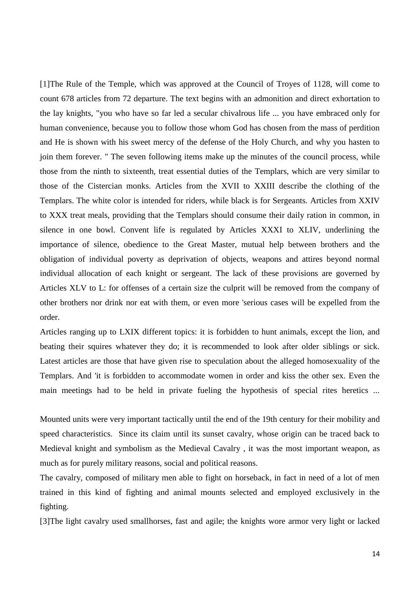[1]The Rule of the Temple, which was approved at the Council of Troyes of 1128, will come to count 678 articles from 72 departure. The text begins with an admonition and direct exhortation to the lay knights, "you who have so far led a secular chivalrous life ... you have embraced only for human convenience, because you to follow those whom God has chosen from the mass of perdition and He is shown with his sweet mercy of the defense of the Holy Church, and why you hasten to join them forever. " The seven following items make up the minutes of the council process, while those from the ninth to sixteenth, treat essential duties of the Templars, which are very similar to those of the Cistercian monks. Articles from the XVII to XXIII describe the clothing of the Templars. The white color is intended for riders, while black is for Sergeants. Articles from XXIV to XXX treat meals, providing that the Templars should consume their daily ration in common, in silence in one bowl. Convent life is regulated by Articles XXXI to XLIV, underlining the importance of silence, obedience to the Great Master, mutual help between brothers and the obligation of individual poverty as deprivation of objects, weapons and attires beyond normal individual allocation of each knight or sergeant. The lack of these provisions are governed by Articles XLV to L: for offenses of a certain size the culprit will be removed from the company of other brothers nor drink nor eat with them, or even more 'serious cases will be expelled from the order.

Articles ranging up to LXIX different topics: it is forbidden to hunt animals, except the lion, and beating their squires whatever they do; it is recommended to look after older siblings or sick. Latest articles are those that have given rise to speculation about the alleged homosexuality of the Templars. And 'it is forbidden to accommodate women in order and kiss the other sex. Even the main meetings had to be held in private fueling the hypothesis of special rites heretics ...

Mounted units were very important tactically until the end of the [19th century](http://it.wikipedia.org/wiki/XIX_secolo) for their mobility and speed characteristics. Since its claim until its sunset cavalry, whose origin can be traced back to [Medieval knight](http://it.wikipedia.org/wiki/Cavaliere_medievale) and symbolism as the [Medieval Cavalry](http://it.wikipedia.org/wiki/Cavalleria_medievale) , it was the most important weapon, as much as for purely military reasons, social and political reasons.

The cavalry, composed of military men able to fight on horseback, in fact in need of a lot of men trained in this kind of fighting and animal mounts selected and employed exclusively in the fighting.

[3]The light cavalry used smallhorses, fast and agile; the knights wore armor very light or lacked